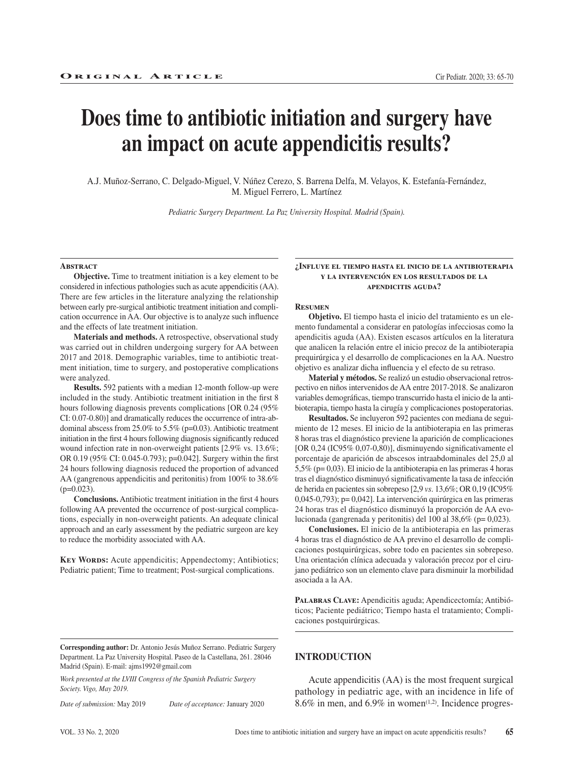# **Does time to antibiotic initiation and surgery have an impact on acute appendicitis results?**

A.J. Muñoz-Serrano, C. Delgado-Miguel, V. Núñez Cerezo, S. Barrena Delfa, M. Velayos, K. Estefanía-Fernández, M. Miguel Ferrero, L. Martínez

*Pediatric Surgery Department. La Paz University Hospital. Madrid (Spain).*

#### **Abstract**

**Objective.** Time to treatment initiation is a key element to be considered in infectious pathologies such as acute appendicitis (AA). There are few articles in the literature analyzing the relationship between early pre-surgical antibiotic treatment initiation and complication occurrence in AA. Our objective is to analyze such influence and the effects of late treatment initiation.

**Materials and methods.** A retrospective, observational study was carried out in children undergoing surgery for AA between 2017 and 2018. Demographic variables, time to antibiotic treatment initiation, time to surgery, and postoperative complications were analyzed.

**Results.** 592 patients with a median 12-month follow-up were included in the study. Antibiotic treatment initiation in the first 8 hours following diagnosis prevents complications [OR 0.24 (95% CI: 0.07-0.80)] and dramatically reduces the occurrence of intra-abdominal abscess from 25.0% to 5.5% (p=0.03). Antibiotic treatment initiation in the first 4 hours following diagnosis significantly reduced wound infection rate in non-overweight patients [2.9% vs. 13.6%; OR 0.19 (95% CI: 0.045-0.793); p=0.042]. Surgery within the first 24 hours following diagnosis reduced the proportion of advanced AA (gangrenous appendicitis and peritonitis) from 100% to 38.6%  $(p=0.023)$ .

**Conclusions.** Antibiotic treatment initiation in the first 4 hours following AA prevented the occurrence of post-surgical complications, especially in non-overweight patients. An adequate clinical approach and an early assessment by the pediatric surgeon are key to reduce the morbidity associated with AA.

**KEY WORDS:** Acute appendicitis; Appendectomy; Antibiotics; Pediatric patient; Time to treatment; Post-surgical complications.

#### **¿Influye el tiempo hasta el inicio de la antibioterapia y la intervención en los resultados de la apendicitis aguda?**

#### **Resumen**

**Objetivo.** El tiempo hasta el inicio del tratamiento es un elemento fundamental a considerar en patologías infecciosas como la apendicitis aguda (AA). Existen escasos artículos en la literatura que analicen la relación entre el inicio precoz de la antibioterapia prequirúrgica y el desarrollo de complicaciones en la AA. Nuestro objetivo es analizar dicha influencia y el efecto de su retraso.

**Material y métodos.** Se realizó un estudio observacional retrospectivo en niños intervenidos de AA entre 2017-2018. Se analizaron variables demográficas, tiempo transcurrido hasta el inicio de la antibioterapia, tiempo hasta la cirugía y complicaciones postoperatorias.

**Resultados.** Se incluyeron 592 pacientes con mediana de seguimiento de 12 meses. El inicio de la antibioterapia en las primeras 8 horas tras el diagnóstico previene la aparición de complicaciones [OR 0,24 (IC95% 0,07-0,80)], disminuyendo significativamente el porcentaje de aparición de abscesos intraabdominales del 25,0 al 5,5% (p= 0,03). El inicio de la antibioterapia en las primeras 4 horas tras el diagnóstico disminuyó significativamente la tasa de infección de herida en pacientes sin sobrepeso [2,9 *vs*. 13,6%; OR 0,19 (IC95% 0,045-0,793); p= 0,042]. La intervención quirúrgica en las primeras 24 horas tras el diagnóstico disminuyó la proporción de AA evolucionada (gangrenada y peritonitis) del 100 al 38,6% (p= 0,023).

**Conclusiones.** El inicio de la antibioterapia en las primeras 4 horas tras el diagnóstico de AA previno el desarrollo de complicaciones postquirúrgicas, sobre todo en pacientes sin sobrepeso. Una orientación clínica adecuada y valoración precoz por el cirujano pediátrico son un elemento clave para disminuir la morbilidad asociada a la AA.

PALABRAS CLAVE: Apendicitis aguda; Apendicectomía; Antibióticos; Paciente pediátrico; Tiempo hasta el tratamiento; Complicaciones postquirúrgicas.

*Work presented at the LVIII Congress of the Spanish Pediatric Surgery Society. Vigo, May 2019.*

*Date of submission:* May 2019 *Date of acceptance:* January 2020

**INTRODUCTION**

Acute appendicitis (AA) is the most frequent surgical pathology in pediatric age, with an incidence in life of 8.6% in men, and 6.9% in women<sup> $(1,2)$ </sup>. Incidence progres-

**Corresponding author:** Dr. Antonio Jesús Muñoz Serrano. Pediatric Surgery Department. La Paz University Hospital. Paseo de la Castellana, 261. 28046 Madrid (Spain). E-mail: ajms1992@gmail.com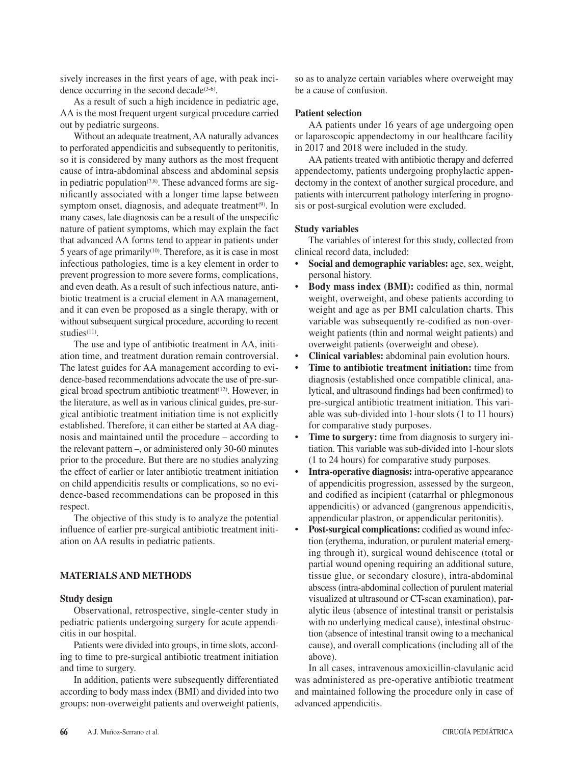sively increases in the first years of age, with peak incidence occurring in the second decade $(3-6)$ .

As a result of such a high incidence in pediatric age, AA is the most frequent urgent surgical procedure carried out by pediatric surgeons.

Without an adequate treatment, AA naturally advances to perforated appendicitis and subsequently to peritonitis, so it is considered by many authors as the most frequent cause of intra-abdominal abscess and abdominal sepsis in pediatric population $(7,8)$ . These advanced forms are significantly associated with a longer time lapse between symptom onset, diagnosis, and adequate treatment<sup>(9)</sup>. In many cases, late diagnosis can be a result of the unspecific nature of patient symptoms, which may explain the fact that advanced AA forms tend to appear in patients under 5 years of age primarily<sup> $(10)$ </sup>. Therefore, as it is case in most infectious pathologies, time is a key element in order to prevent progression to more severe forms, complications, and even death. As a result of such infectious nature, antibiotic treatment is a crucial element in AA management, and it can even be proposed as a single therapy, with or without subsequent surgical procedure, according to recent studies<sup>(11)</sup>.

The use and type of antibiotic treatment in AA, initiation time, and treatment duration remain controversial. The latest guides for AA management according to evidence-based recommendations advocate the use of pre-surgical broad spectrum antibiotic treatment<sup>(12)</sup>. However, in the literature, as well as in various clinical guides, pre-surgical antibiotic treatment initiation time is not explicitly established. Therefore, it can either be started at AA diagnosis and maintained until the procedure – according to the relevant pattern –, or administered only 30-60 minutes prior to the procedure. But there are no studies analyzing the effect of earlier or later antibiotic treatment initiation on child appendicitis results or complications, so no evidence-based recommendations can be proposed in this respect.

The objective of this study is to analyze the potential influence of earlier pre-surgical antibiotic treatment initiation on AA results in pediatric patients.

## **MATERIALS AND METHODS**

#### **Study design**

Observational, retrospective, single-center study in pediatric patients undergoing surgery for acute appendicitis in our hospital.

Patients were divided into groups, in time slots, according to time to pre-surgical antibiotic treatment initiation and time to surgery.

In addition, patients were subsequently differentiated according to body mass index (BMI) and divided into two groups: non-overweight patients and overweight patients,

so as to analyze certain variables where overweight may be a cause of confusion.

# **Patient selection**

AA patients under 16 years of age undergoing open or laparoscopic appendectomy in our healthcare facility in 2017 and 2018 were included in the study.

AA patients treated with antibiotic therapy and deferred appendectomy, patients undergoing prophylactic appendectomy in the context of another surgical procedure, and patients with intercurrent pathology interfering in prognosis or post-surgical evolution were excluded.

#### **Study variables**

The variables of interest for this study, collected from clinical record data, included:

- **Social and demographic variables:** age, sex, weight, personal history.
- **Body mass index (BMI):** codified as thin, normal weight, overweight, and obese patients according to weight and age as per BMI calculation charts. This variable was subsequently re-codified as non-overweight patients (thin and normal weight patients) and overweight patients (overweight and obese).
- **Clinical variables:** abdominal pain evolution hours.
- **Time to antibiotic treatment initiation:** time from diagnosis (established once compatible clinical, analytical, and ultrasound findings had been confirmed) to pre-surgical antibiotic treatment initiation. This variable was sub-divided into 1-hour slots (1 to 11 hours) for comparative study purposes.
- **Time to surgery:** time from diagnosis to surgery initiation. This variable was sub-divided into 1-hour slots (1 to 24 hours) for comparative study purposes*.*
- **Intra-operative diagnosis:** intra-operative appearance of appendicitis progression, assessed by the surgeon, and codified as incipient (catarrhal or phlegmonous appendicitis) or advanced (gangrenous appendicitis, appendicular plastron, or appendicular peritonitis).
- **Post-surgical complications:** codified as wound infection (erythema, induration, or purulent material emerging through it), surgical wound dehiscence (total or partial wound opening requiring an additional suture, tissue glue, or secondary closure), intra-abdominal abscess (intra-abdominal collection of purulent material visualized at ultrasound or CT-scan examination), paralytic ileus (absence of intestinal transit or peristalsis with no underlying medical cause), intestinal obstruction (absence of intestinal transit owing to a mechanical cause), and overall complications (including all of the above).

In all cases, intravenous amoxicillin-clavulanic acid was administered as pre-operative antibiotic treatment and maintained following the procedure only in case of advanced appendicitis.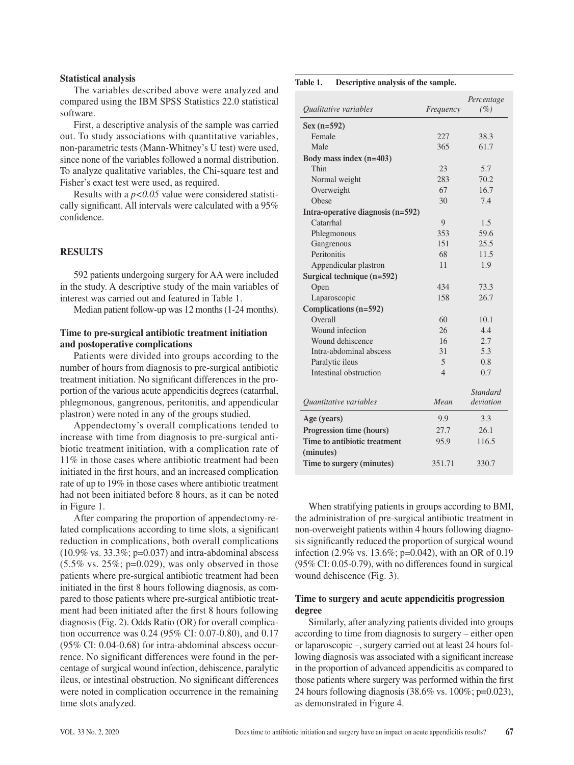### **Statistical analysis**

The variables described above were analyzed and compared using the IBM SPSS Statistics 22.0 statistical software.

First, a descriptive analysis of the sample was carried out. To study associations with quantitative variables, non-parametric tests (Mann-Whitney's U test) were used, since none of the variables followed a normal distribution. To analyze qualitative variables, the Chi-square test and Fisher's exact test were used, as required.

Results with a *p<0.05* value were considered statistically significant. All intervals were calculated with a 95% confidence.

## **RESULTS**

592 patients undergoing surgery for AA were included in the study. A descriptive study of the main variables of interest was carried out and featured in Table 1.

Median patient follow-up was 12 months (1-24 months).

# **Time to pre-surgical antibiotic treatment initiation and postoperative complications**

Patients were divided into groups according to the number of hours from diagnosis to pre-surgical antibiotic treatment initiation. No significant differences in the proportion of the various acute appendicitis degrees (catarrhal, phlegmonous, gangrenous, peritonitis, and appendicular plastron) were noted in any of the groups studied.

Appendectomy's overall complications tended to increase with time from diagnosis to pre-surgical antibiotic treatment initiation, with a complication rate of 11% in those cases where antibiotic treatment had been initiated in the first hours, and an increased complication rate of up to 19% in those cases where antibiotic treatment had not been initiated before 8 hours, as it can be noted in Figure 1.

After comparing the proportion of appendectomy-related complications according to time slots, a significant reduction in complications, both overall complications  $(10.9\% \text{ vs. } 33.3\%; \text{ p=0.037})$  and intra-abdominal abscess  $(5.5\% \text{ vs. } 25\%; \text{ p=0.029})$ , was only observed in those patients where pre-surgical antibiotic treatment had been initiated in the first 8 hours following diagnosis, as compared to those patients where pre-surgical antibiotic treatment had been initiated after the first 8 hours following diagnosis (Fig. 2). Odds Ratio (OR) for overall complication occurrence was 0.24 (95% CI: 0.07-0.80), and 0.17 (95% CI: 0.04-0.68) for intra-abdominal abscess occurrence. No significant differences were found in the percentage of surgical wound infection, dehiscence, paralytic ileus, or intestinal obstruction. No significant differences were noted in complication occurrence in the remaining time slots analyzed.

#### **Table 1. Descriptive analysis of the sample.**

| <i><b>Oualitative variables</b></i> | Frequency      | Percentage<br>$(\%)$ |
|-------------------------------------|----------------|----------------------|
|                                     |                |                      |
| $Sex (n=592)$                       |                |                      |
| Female                              | 227            | 38.3                 |
| Male                                | 365            | 61.7                 |
| Body mass index $(n=403)$           |                |                      |
| Thin                                | 23             | 5.7                  |
| Normal weight                       | 283            | 70.2                 |
| Overweight                          | 67             | 16.7                 |
| Obese                               | 30             | 7.4                  |
| Intra-operative diagnosis (n=592)   |                |                      |
| Catarrhal                           | 9              | 1.5                  |
| Phlegmonous                         | 353            | 59.6                 |
| Gangrenous                          | 151            | 25.5                 |
| Peritonitis                         | 68             | 11.5                 |
| Appendicular plastron               | 11             | 1.9                  |
| Surgical technique (n=592)          |                |                      |
| Open                                | 434            | 73.3                 |
| Laparoscopic                        | 158            | 26.7                 |
| Complications (n=592)               |                |                      |
| Overall                             | 60             | 10.1                 |
| Wound infection                     | 26             | 4.4                  |
| Wound dehiscence                    | 16             | 2.7                  |
| Intra-abdominal abscess             | 31             | 5.3                  |
| Paralytic ileus                     | 5              | 0.8                  |
| Intestinal obstruction              | $\overline{4}$ | 0.7                  |
|                                     |                |                      |
|                                     |                | Standard             |
| Quantitative variables              | Mean           | deviation            |
| Age (years)                         | 9.9            | 3.3                  |
| Progression time (hours)            | 27.7           | 26.1                 |
| Time to antibiotic treatment        | 95.9           | 116.5                |
| (minutes)                           |                |                      |
| Time to surgery (minutes)           | 351.71         | 330.7                |

When stratifying patients in groups according to BMI, the administration of pre-surgical antibiotic treatment in non-overweight patients within 4 hours following diagnosis significantly reduced the proportion of surgical wound infection (2.9% vs. 13.6%; p=0.042), with an OR of 0.19 (95% CI: 0.05-0.79), with no differences found in surgical wound dehiscence (Fig. 3).

# **Time to surgery and acute appendicitis progression degree**

Similarly, after analyzing patients divided into groups according to time from diagnosis to surgery – either open or laparoscopic –, surgery carried out at least 24 hours following diagnosis was associated with a significant increase in the proportion of advanced appendicitis as compared to those patients where surgery was performed within the first 24 hours following diagnosis (38.6% vs. 100%; p=0.023), as demonstrated in Figure 4.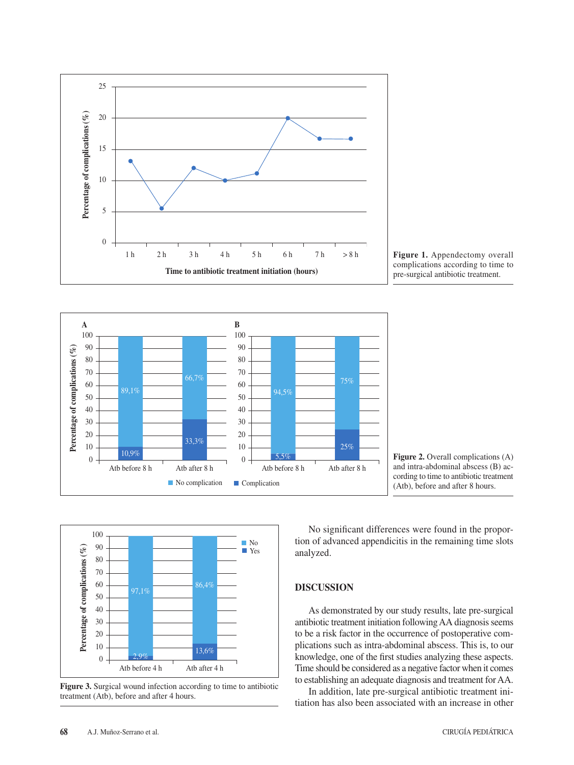

Figure 1. Appendectomy overall complications according to time to pre-surgical antibiotic treatment.



**Figure 2.** Overall complications (A) and intra-abdominal abscess (B) according to time to antibiotic treatment (Atb), before and after 8 hours.



**Figure 3.** Surgical wound infection according to time to antibiotic treatment (Atb), before and after 4 hours.

No significant differences were found in the proportion of advanced appendicitis in the remaining time slots analyzed.

# **DISCUSSION**

As demonstrated by our study results, late pre-surgical antibiotic treatment initiation following AA diagnosis seems to be a risk factor in the occurrence of postoperative complications such as intra-abdominal abscess. This is, to our knowledge, one of the first studies analyzing these aspects. Time should be considered as a negative factor when it comes to establishing an adequate diagnosis and treatment for AA.

In addition, late pre-surgical antibiotic treatment initiation has also been associated with an increase in other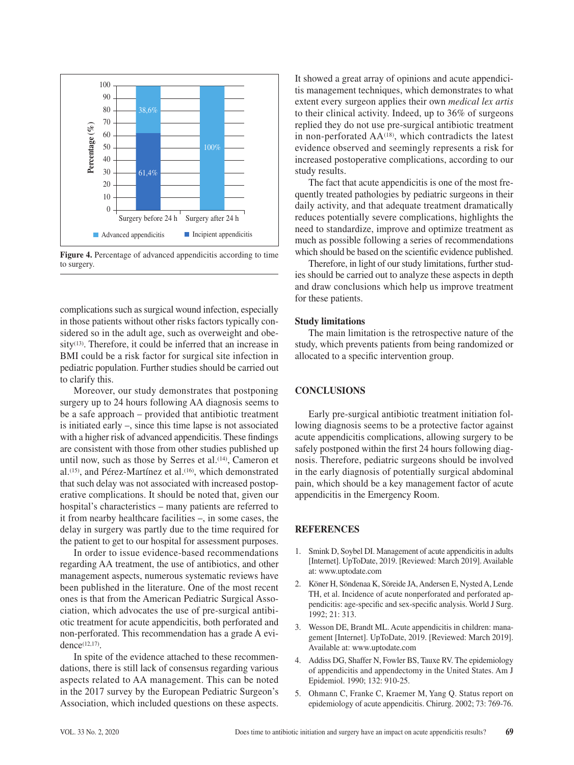

**Figure 4.** Percentage of advanced appendicitis according to time to surgery.

complications such as surgical wound infection, especially in those patients without other risks factors typically considered so in the adult age, such as overweight and obe $sity<sup>(13)</sup>$ . Therefore, it could be inferred that an increase in BMI could be a risk factor for surgical site infection in pediatric population. Further studies should be carried out to clarify this.

Moreover, our study demonstrates that postponing surgery up to 24 hours following AA diagnosis seems to be a safe approach – provided that antibiotic treatment is initiated early –, since this time lapse is not associated with a higher risk of advanced appendicitis. These findings are consistent with those from other studies published up until now, such as those by Serres et al.<sup>(14)</sup>, Cameron et al.<sup>(15)</sup>, and Pérez-Martínez et al.<sup>(16)</sup>, which demonstrated that such delay was not associated with increased postoperative complications. It should be noted that, given our hospital's characteristics – many patients are referred to it from nearby healthcare facilities –, in some cases, the delay in surgery was partly due to the time required for the patient to get to our hospital for assessment purposes.

In order to issue evidence-based recommendations regarding AA treatment, the use of antibiotics, and other management aspects, numerous systematic reviews have been published in the literature. One of the most recent ones is that from the American Pediatric Surgical Association, which advocates the use of pre-surgical antibiotic treatment for acute appendicitis, both perforated and non-perforated. This recommendation has a grade A evidence(12,17).

In spite of the evidence attached to these recommendations, there is still lack of consensus regarding various aspects related to AA management. This can be noted in the 2017 survey by the European Pediatric Surgeon's Association, which included questions on these aspects. It showed a great array of opinions and acute appendicitis management techniques, which demonstrates to what extent every surgeon applies their own *medical lex artis*  to their clinical activity. Indeed, up to 36% of surgeons replied they do not use pre-surgical antibiotic treatment in non-perforated AA<sup>(18)</sup>, which contradicts the latest evidence observed and seemingly represents a risk for increased postoperative complications, according to our study results.

The fact that acute appendicitis is one of the most frequently treated pathologies by pediatric surgeons in their daily activity, and that adequate treatment dramatically reduces potentially severe complications, highlights the need to standardize, improve and optimize treatment as much as possible following a series of recommendations which should be based on the scientific evidence published.

Therefore, in light of our study limitations, further studies should be carried out to analyze these aspects in depth and draw conclusions which help us improve treatment for these patients.

# **Study limitations**

The main limitation is the retrospective nature of the study, which prevents patients from being randomized or allocated to a specific intervention group.

# **CONCLUSIONS**

Early pre-surgical antibiotic treatment initiation following diagnosis seems to be a protective factor against acute appendicitis complications, allowing surgery to be safely postponed within the first 24 hours following diagnosis. Therefore, pediatric surgeons should be involved in the early diagnosis of potentially surgical abdominal pain, which should be a key management factor of acute appendicitis in the Emergency Room.

#### **REFERENCES**

- 1. Smink D, Soybel DI. Management of acute appendicitis in adults [Internet]. UpToDate, 2019. [Reviewed: March 2019]. Available at: www.uptodate.com
- 2. Köner H, Söndenaa K, Söreide JA, Andersen E, Nysted A, Lende TH, et al. Incidence of acute nonperforated and perforated appendicitis: age-specific and sex-specific analysis. World J Surg. 1992; 21: 313.
- 3. Wesson DE, Brandt ML. Acute appendicitis in children: management [Internet]. UpToDate, 2019. [Reviewed: March 2019]. Available at: www.uptodate.com
- 4. Addiss DG, Shaffer N, Fowler BS, Tauxe RV. The epidemiology of appendicitis and appendectomy in the United States. Am J Epidemiol. 1990; 132: 910-25.
- 5. Ohmann C, Franke C, Kraemer M, Yang Q. Status report on epidemiology of acute appendicitis. Chirurg. 2002; 73: 769-76.